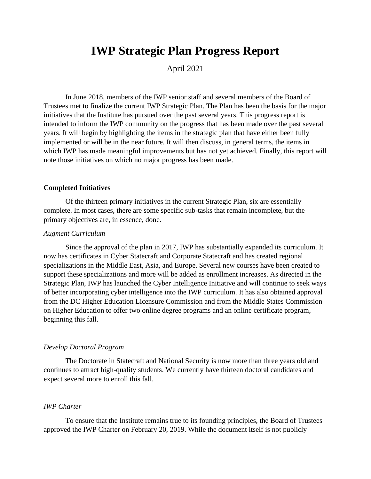# **IWP Strategic Plan Progress Report**

April 2021

In June 2018, members of the IWP senior staff and several members of the Board of Trustees met to finalize the current IWP Strategic Plan. The Plan has been the basis for the major initiatives that the Institute has pursued over the past several years. This progress report is intended to inform the IWP community on the progress that has been made over the past several years. It will begin by highlighting the items in the strategic plan that have either been fully implemented or will be in the near future. It will then discuss, in general terms, the items in which IWP has made meaningful improvements but has not yet achieved. Finally, this report will note those initiatives on which no major progress has been made.

# **Completed Initiatives**

Of the thirteen primary initiatives in the current Strategic Plan, six are essentially complete. In most cases, there are some specific sub-tasks that remain incomplete, but the primary objectives are, in essence, done.

#### *Augment Curriculum*

Since the approval of the plan in 2017, IWP has substantially expanded its curriculum. It now has certificates in Cyber Statecraft and Corporate Statecraft and has created regional specializations in the Middle East, Asia, and Europe. Several new courses have been created to support these specializations and more will be added as enrollment increases. As directed in the Strategic Plan, IWP has launched the Cyber Intelligence Initiative and will continue to seek ways of better incorporating cyber intelligence into the IWP curriculum. It has also obtained approval from the DC Higher Education Licensure Commission and from the Middle States Commission on Higher Education to offer two online degree programs and an online certificate program, beginning this fall.

# *Develop Doctoral Program*

The Doctorate in Statecraft and National Security is now more than three years old and continues to attract high-quality students. We currently have thirteen doctoral candidates and expect several more to enroll this fall.

# *IWP Charter*

To ensure that the Institute remains true to its founding principles, the Board of Trustees approved the IWP Charter on February 20, 2019. While the document itself is not publicly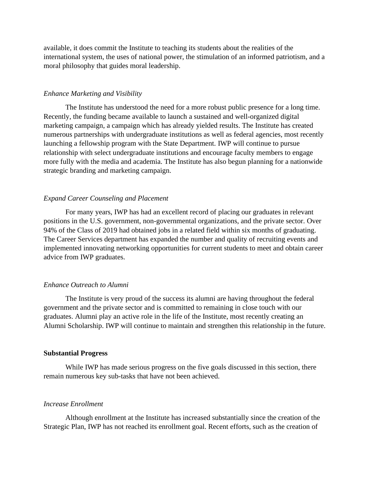available, it does commit the Institute to teaching its students about the realities of the international system, the uses of national power, the stimulation of an informed patriotism, and a moral philosophy that guides moral leadership.

#### *Enhance Marketing and Visibility*

The Institute has understood the need for a more robust public presence for a long time. Recently, the funding became available to launch a sustained and well-organized digital marketing campaign, a campaign which has already yielded results. The Institute has created numerous partnerships with undergraduate institutions as well as federal agencies, most recently launching a fellowship program with the State Department. IWP will continue to pursue relationship with select undergraduate institutions and encourage faculty members to engage more fully with the media and academia. The Institute has also begun planning for a nationwide strategic branding and marketing campaign.

#### *Expand Career Counseling and Placement*

For many years, IWP has had an excellent record of placing our graduates in relevant positions in the U.S. government, non-governmental organizations, and the private sector. Over 94% of the Class of 2019 had obtained jobs in a related field within six months of graduating. The Career Services department has expanded the number and quality of recruiting events and implemented innovating networking opportunities for current students to meet and obtain career advice from IWP graduates.

#### *Enhance Outreach to Alumni*

The Institute is very proud of the success its alumni are having throughout the federal government and the private sector and is committed to remaining in close touch with our graduates. Alumni play an active role in the life of the Institute, most recently creating an Alumni Scholarship. IWP will continue to maintain and strengthen this relationship in the future.

# **Substantial Progress**

While IWP has made serious progress on the five goals discussed in this section, there remain numerous key sub-tasks that have not been achieved.

#### *Increase Enrollment*

Although enrollment at the Institute has increased substantially since the creation of the Strategic Plan, IWP has not reached its enrollment goal. Recent efforts, such as the creation of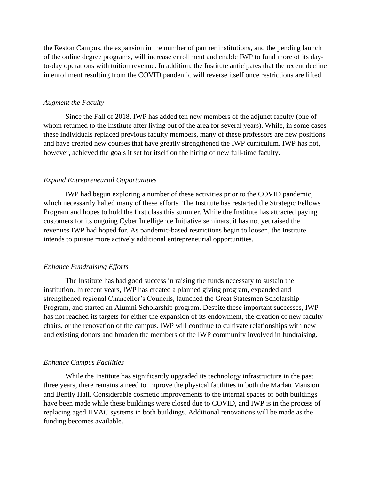the Reston Campus, the expansion in the number of partner institutions, and the pending launch of the online degree programs, will increase enrollment and enable IWP to fund more of its dayto-day operations with tuition revenue. In addition, the Institute anticipates that the recent decline in enrollment resulting from the COVID pandemic will reverse itself once restrictions are lifted.

# *Augment the Faculty*

Since the Fall of 2018, IWP has added ten new members of the adjunct faculty (one of whom returned to the Institute after living out of the area for several years). While, in some cases these individuals replaced previous faculty members, many of these professors are new positions and have created new courses that have greatly strengthened the IWP curriculum. IWP has not, however, achieved the goals it set for itself on the hiring of new full-time faculty.

### *Expand Entrepreneurial Opportunities*

IWP had begun exploring a number of these activities prior to the COVID pandemic, which necessarily halted many of these efforts. The Institute has restarted the Strategic Fellows Program and hopes to hold the first class this summer. While the Institute has attracted paying customers for its ongoing Cyber Intelligence Initiative seminars, it has not yet raised the revenues IWP had hoped for. As pandemic-based restrictions begin to loosen, the Institute intends to pursue more actively additional entrepreneurial opportunities.

# *Enhance Fundraising Efforts*

The Institute has had good success in raising the funds necessary to sustain the institution. In recent years, IWP has created a planned giving program, expanded and strengthened regional Chancellor's Councils, launched the Great Statesmen Scholarship Program, and started an Alumni Scholarship program. Despite these important successes, IWP has not reached its targets for either the expansion of its endowment, the creation of new faculty chairs, or the renovation of the campus. IWP will continue to cultivate relationships with new and existing donors and broaden the members of the IWP community involved in fundraising.

#### *Enhance Campus Facilities*

While the Institute has significantly upgraded its technology infrastructure in the past three years, there remains a need to improve the physical facilities in both the Marlatt Mansion and Bently Hall. Considerable cosmetic improvements to the internal spaces of both buildings have been made while these buildings were closed due to COVID, and IWP is in the process of replacing aged HVAC systems in both buildings. Additional renovations will be made as the funding becomes available.